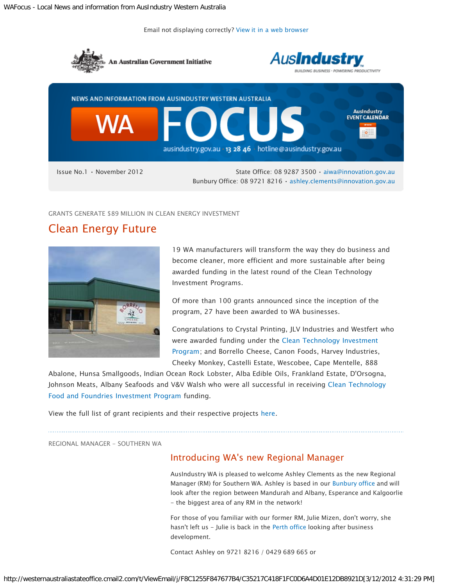Email not displaying correctly? [View it in a web browser](http://westernaustraliastateoffice.createsend1.com/t/j-e-yujjljl-tyqfurh-r/)



GRANTS GENERATE \$89 MILLION IN CLEAN ENERGY INVESTMENT

# Clean Energy Future



19 WA manufacturers will transform the way they do business and become cleaner, more efficient and more sustainable after being awarded funding in the latest round of the Clean Technology Investment Programs.

Of more than 100 grants announced since the inception of the program, 27 have been awarded to WA businesses.

Congratulations to Crystal Printing, JLV Industries and Westfert who were awarded funding under the [Clean Technology Investment](http://westernaustraliastateoffice.createsend1.com/t/j-l-yujjljl-tyqfurh-i/) [Program;](http://westernaustraliastateoffice.createsend1.com/t/j-l-yujjljl-tyqfurh-i/) and Borrello Cheese, Canon Foods, Harvey Industries, Cheeky Monkey, Castelli Estate, Wescobee, Cape Mentelle, 888

Abalone, Hunsa Smallgoods, Indian Ocean Rock Lobster, Alba Edible Oils, Frankland Estate, D'Orsogna, Johnson Meats, Albany Seafoods and V&V Walsh who were all successful in receiving [Clean Technology](http://westernaustraliastateoffice.createsend1.com/t/j-l-yujjljl-tyqfurh-d/) [Food and Foundries Investment Program](http://westernaustraliastateoffice.createsend1.com/t/j-l-yujjljl-tyqfurh-d/) funding.

View the full list of grant recipients and their respective projects [here.](http://westernaustraliastateoffice.createsend1.com/t/j-l-yujjljl-tyqfurh-h/)

REGIONAL MANAGER - SOUTHERN WA

### Introducing WA's new Regional Manager

AusIndustry WA is pleased to welcome Ashley Clements as the new Regional Manager (RM) for Southern WA. Ashley is based in our [Bunbury office](http://westernaustraliastateoffice.createsend1.com/t/j-l-yujjljl-tyqfurh-k/) and will look after the region between Mandurah and Albany, Esperance and Kalgoorlie - the biggest area of any RM in the network!

For those of you familiar with our former RM, Julie Mizen, don't worry, she hasn't left us - Julie is back in the [Perth office](http://westernaustraliastateoffice.createsend1.com/t/j-l-yujjljl-tyqfurh-u/) looking after business development.

Contact Ashley on 9721 8216 / 0429 689 665 or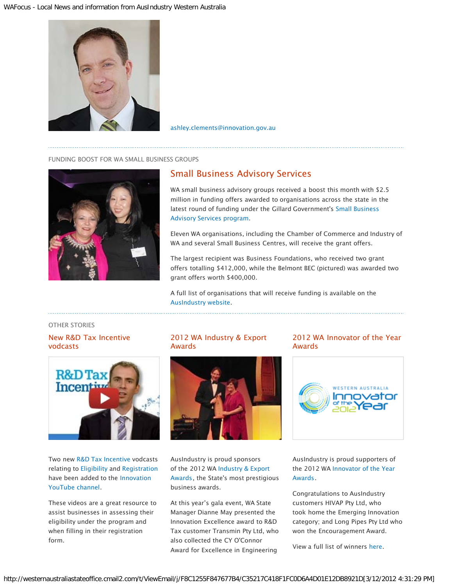

[ashley.clements@innovation.gov.au](mailto:ashley.clements@innovation.gov.au)

#### FUNDING BOOST FOR WA SMALL BUSINESS GROUPS



## Small Business Advisory Services

WA small business advisory groups received a boost this month with \$2.5 million in funding offers awarded to organisations across the state in the latest round of funding under the Gillard Government's [Small Business](http://westernaustraliastateoffice.createsend1.com/t/j-l-yujjljl-tyqfurh-o/) [Advisory Services program](http://westernaustraliastateoffice.createsend1.com/t/j-l-yujjljl-tyqfurh-o/).

Eleven WA organisations, including the Chamber of Commerce and Industry of WA and several Small Business Centres, will receive the grant offers.

The largest recipient was Business Foundations, who received two grant offers totalling \$412,000, while the Belmont BEC (pictured) was awarded two grant offers worth \$400,000.

A full list of organisations that will receive funding is available on the [AusIndustry website.](http://westernaustraliastateoffice.createsend1.com/t/j-l-yujjljl-tyqfurh-b/)

OTHER STORIES

New R&D Tax Incentive vodcasts



Two new [R&D Tax Incentive](http://westernaustraliastateoffice.createsend1.com/t/j-l-yujjljl-tyqfurh-n/) vodcasts relating to [Eligibility](http://westernaustraliastateoffice.createsend1.com/t/j-l-yujjljl-tyqfurh-p/) and [Registration](http://westernaustraliastateoffice.createsend1.com/t/j-l-yujjljl-tyqfurh-x/) have been added to the [Innovation](http://westernaustraliastateoffice.createsend1.com/t/j-l-yujjljl-tyqfurh-m/) [YouTube channel](http://westernaustraliastateoffice.createsend1.com/t/j-l-yujjljl-tyqfurh-m/).

These videos are a great resource to assist businesses in assessing their eligibility under the program and when filling in their registration form.

### 2012 WA Industry & Export Awards



AusIndustry is proud sponsors of the 2012 WA [Industry & Export](http://westernaustraliastateoffice.createsend1.com/t/j-l-yujjljl-tyqfurh-a/) [Awards](http://westernaustraliastateoffice.createsend1.com/t/j-l-yujjljl-tyqfurh-a/), the State's most prestigious business awards.

At this year's gala event, WA State Manager Dianne May presented the Innovation Excellence award to R&D Tax customer Transmin Pty Ltd, who also collected the CY O'Connor Award for Excellence in Engineering

#### 2012 WA Innovator of the Year Awards



AusIndustry is proud supporters of the 2012 WA [Innovator of the Year](http://westernaustraliastateoffice.createsend1.com/t/j-l-yujjljl-tyqfurh-v/) [Awards.](http://westernaustraliastateoffice.createsend1.com/t/j-l-yujjljl-tyqfurh-v/)

Congratulations to AusIndustry customers HIVAP Pty Ltd, who took home the Emerging Innovation category; and Long Pipes Pty Ltd who won the Encouragement Award.

View a full list of winners [here](http://westernaustraliastateoffice.createsend1.com/t/j-l-yujjljl-tyqfurh-e/).